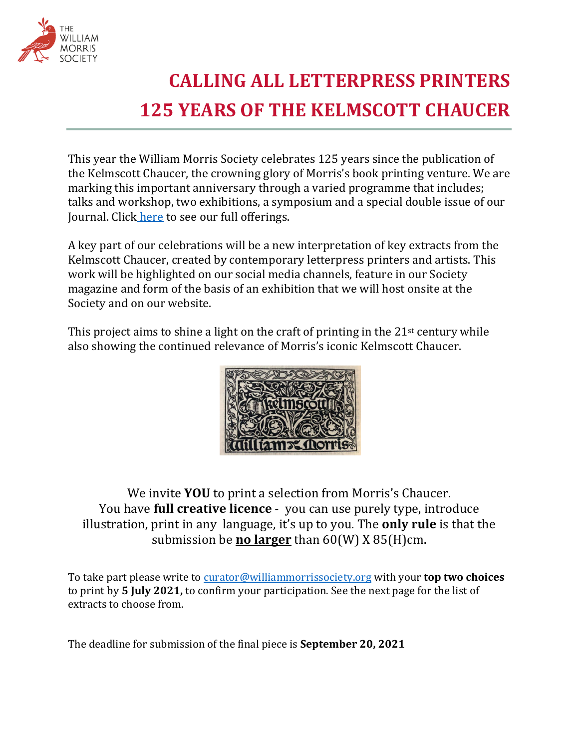

## **CALLING ALL LETTERPRESS PRINTERS 125 YEARS OF THE KELMSCOTT CHAUCER**

This year the William Morris Society celebrates 125 years since the publication of the Kelmscott Chaucer, the crowning glory of Morris's book printing venture. We are marking this important anniversary through a varied programme that includes; talks and workshop, two exhibitions, a symposium and a special double issue of our Journal. Click here to see our full offerings.

A key part of our celebrations will be a new interpretation of key extracts from the Kelmscott Chaucer, created by contemporary letterpress printers and artists. This work will be highlighted on our social media channels, feature in our Society magazine and form of the basis of an exhibition that we will host onsite at the Society and on our website.

This project aims to shine a light on the craft of printing in the  $21^{st}$  century while also showing the continued relevance of Morris's iconic Kelmscott Chaucer.



We invite **YOU** to print a selection from Morris's Chaucer. You have **full creative licence** - you can use purely type, introduce illustration, print in any language, it's up to you. The **only rule** is that the submission be **no larger** than 60(W) X 85(H)cm.

To take part please write to curator@williammorrissociety.org with your **top two choices** to print by 5 July 2021, to confirm your participation. See the next page for the list of extracts to choose from.

The deadline for submission of the final piece is **September 20, 2021**